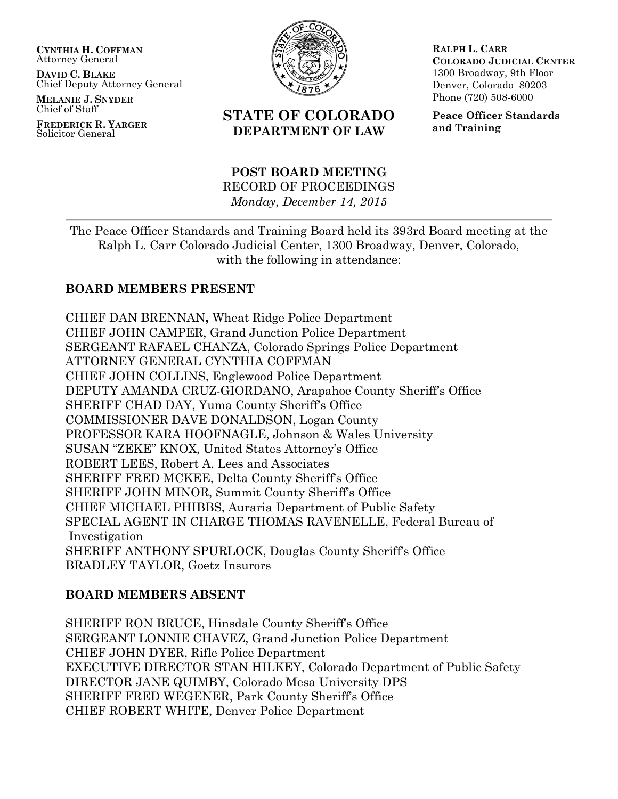**CYNTHIA H. COFFMAN** Attorney General

**DAVID C. BLAKE** Chief Deputy Attorney General

**MELANIE J. SNYDER** Chief of Staff

**FREDERICK R. YARGER** Solicitor General



# **STATE OF COLORADO DEPARTMENT OF LAW**

**RALPH L. CARR COLORADO JUDICIAL CENTER** 1300 Broadway, 9th Floor Denver, Colorado 80203 Phone (720) 508-6000

**Peace Officer Standards and Training**

#### **POST BOARD MEETING** RECORD OF PROCEEDINGS *Monday, December 14, 2015*

The Peace Officer Standards and Training Board held its 393rd Board meeting at the Ralph L. Carr Colorado Judicial Center, 1300 Broadway, Denver, Colorado, with the following in attendance:

# **BOARD MEMBERS PRESENT**

CHIEF DAN BRENNAN**,** Wheat Ridge Police Department CHIEF JOHN CAMPER, Grand Junction Police Department SERGEANT RAFAEL CHANZA, Colorado Springs Police Department ATTORNEY GENERAL CYNTHIA COFFMAN CHIEF JOHN COLLINS, Englewood Police Department DEPUTY AMANDA CRUZ-GIORDANO, Arapahoe County Sheriff's Office SHERIFF CHAD DAY, Yuma County Sheriff's Office COMMISSIONER DAVE DONALDSON, Logan County PROFESSOR KARA HOOFNAGLE, Johnson & Wales University SUSAN "ZEKE" KNOX, United States Attorney's Office ROBERT LEES, Robert A. Lees and Associates SHERIFF FRED MCKEE, Delta County Sheriff's Office SHERIFF JOHN MINOR, Summit County Sheriff's Office CHIEF MICHAEL PHIBBS, Auraria Department of Public Safety SPECIAL AGENT IN CHARGE THOMAS RAVENELLE, Federal Bureau of Investigation SHERIFF ANTHONY SPURLOCK, Douglas County Sheriff's Office BRADLEY TAYLOR, Goetz Insurors

## **BOARD MEMBERS ABSENT**

SHERIFF RON BRUCE, Hinsdale County Sheriff's Office SERGEANT LONNIE CHAVEZ, Grand Junction Police Department CHIEF JOHN DYER, Rifle Police Department EXECUTIVE DIRECTOR STAN HILKEY, Colorado Department of Public Safety DIRECTOR JANE QUIMBY, Colorado Mesa University DPS SHERIFF FRED WEGENER, Park County Sheriff's Office CHIEF ROBERT WHITE, Denver Police Department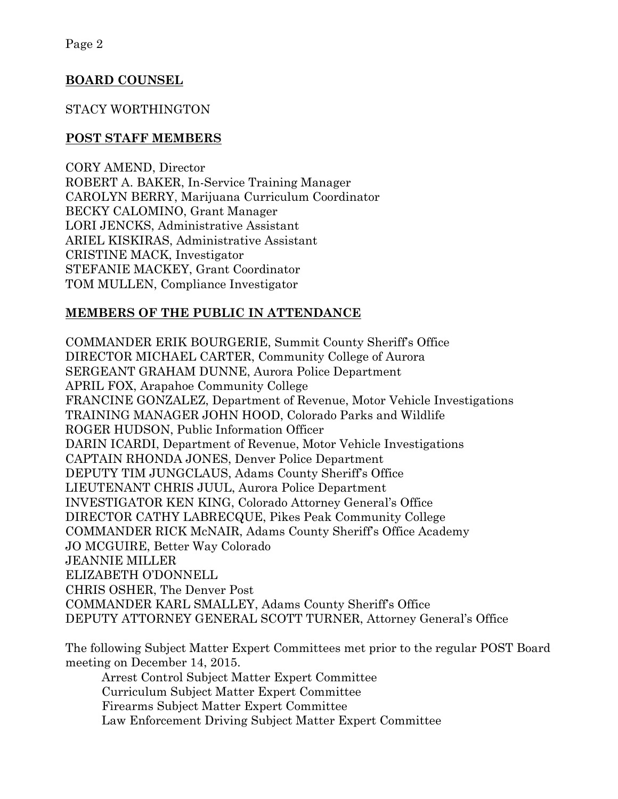## **BOARD COUNSEL**

# STACY WORTHINGTON

## **POST STAFF MEMBERS**

CORY AMEND, Director ROBERT A. BAKER, In-Service Training Manager CAROLYN BERRY, Marijuana Curriculum Coordinator BECKY CALOMINO, Grant Manager LORI JENCKS, Administrative Assistant ARIEL KISKIRAS, Administrative Assistant CRISTINE MACK, Investigator STEFANIE MACKEY, Grant Coordinator TOM MULLEN, Compliance Investigator

# **MEMBERS OF THE PUBLIC IN ATTENDANCE**

COMMANDER ERIK BOURGERIE, Summit County Sheriff's Office DIRECTOR MICHAEL CARTER, Community College of Aurora SERGEANT GRAHAM DUNNE, Aurora Police Department APRIL FOX, Arapahoe Community College FRANCINE GONZALEZ, Department of Revenue, Motor Vehicle Investigations TRAINING MANAGER JOHN HOOD, Colorado Parks and Wildlife ROGER HUDSON, Public Information Officer DARIN ICARDI, Department of Revenue, Motor Vehicle Investigations CAPTAIN RHONDA JONES, Denver Police Department DEPUTY TIM JUNGCLAUS, Adams County Sheriff's Office LIEUTENANT CHRIS JUUL, Aurora Police Department INVESTIGATOR KEN KING, Colorado Attorney General's Office DIRECTOR CATHY LABRECQUE, Pikes Peak Community College COMMANDER RICK McNAIR, Adams County Sheriff's Office Academy JO MCGUIRE, Better Way Colorado JEANNIE MILLER ELIZABETH O'DONNELL CHRIS OSHER, The Denver Post COMMANDER KARL SMALLEY, Adams County Sheriff's Office DEPUTY ATTORNEY GENERAL SCOTT TURNER, Attorney General's Office

The following Subject Matter Expert Committees met prior to the regular POST Board meeting on December 14, 2015.

Arrest Control Subject Matter Expert Committee Curriculum Subject Matter Expert Committee Firearms Subject Matter Expert Committee Law Enforcement Driving Subject Matter Expert Committee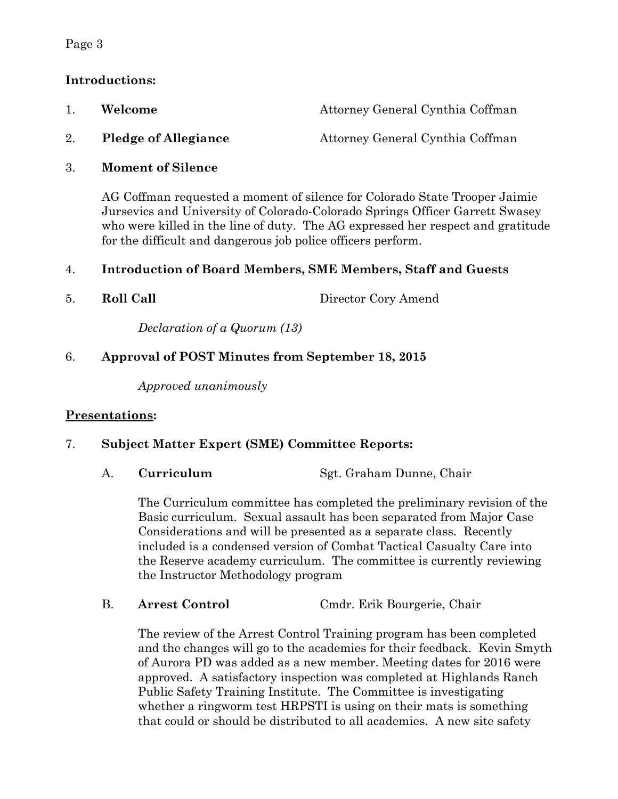#### Page 3

# **Introductions:**

|    | Welcome                     | Attorney General Cynthia Coffman |
|----|-----------------------------|----------------------------------|
| 2. | <b>Pledge of Allegiance</b> | Attorney General Cynthia Coffman |

3. **Moment of Silence**

AG Coffman requested a moment of silence for Colorado State Trooper Jaimie Jursevics and University of Colorado-Colorado Springs Officer Garrett Swasey who were killed in the line of duty. The AG expressed her respect and gratitude for the difficult and dangerous job police officers perform.

## 4. **Introduction of Board Members, SME Members, Staff and Guests**

5. **Roll Call** Director Cory Amend

*Declaration of a Quorum (13)*

# 6. **Approval of POST Minutes from September 18, 2015**

*Approved unanimously*

## **Presentations:**

## 7. **Subject Matter Expert (SME) Committee Reports:**

A. **Curriculum** Sgt. Graham Dunne, Chair

The Curriculum committee has completed the preliminary revision of the Basic curriculum. Sexual assault has been separated from Major Case Considerations and will be presented as a separate class. Recently included is a condensed version of Combat Tactical Casualty Care into the Reserve academy curriculum. The committee is currently reviewing the Instructor Methodology program

B. **Arrest Control** Cmdr. Erik Bourgerie, Chair

The review of the Arrest Control Training program has been completed and the changes will go to the academies for their feedback. Kevin Smyth of Aurora PD was added as a new member. Meeting dates for 2016 were approved. A satisfactory inspection was completed at Highlands Ranch Public Safety Training Institute. The Committee is investigating whether a ringworm test HRPSTI is using on their mats is something that could or should be distributed to all academies. A new site safety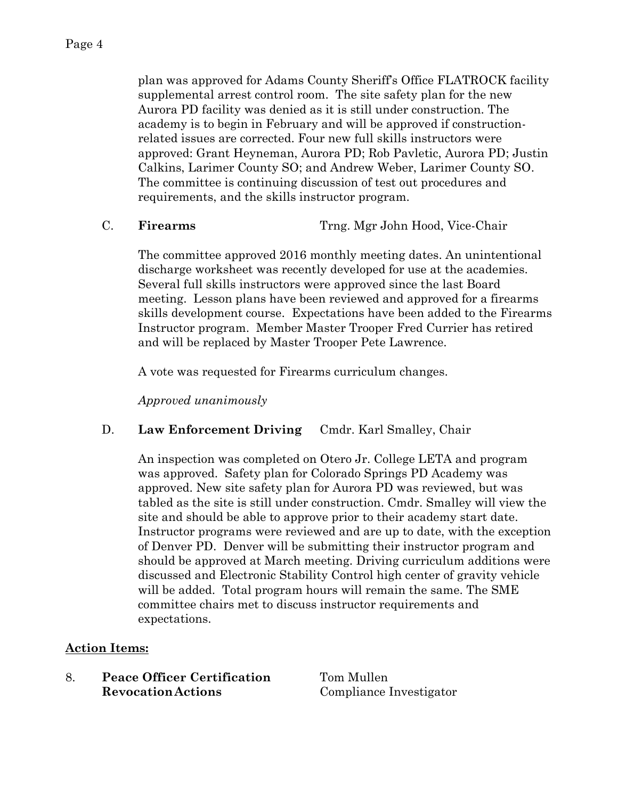plan was approved for Adams County Sheriff's Office FLATROCK facility supplemental arrest control room. The site safety plan for the new Aurora PD facility was denied as it is still under construction. The academy is to begin in February and will be approved if constructionrelated issues are corrected. Four new full skills instructors were approved: Grant Heyneman, Aurora PD; Rob Pavletic, Aurora PD; Justin Calkins, Larimer County SO; and Andrew Weber, Larimer County SO. The committee is continuing discussion of test out procedures and requirements, and the skills instructor program.

C. **Firearms** Trng. Mgr John Hood, Vice-Chair

The committee approved 2016 monthly meeting dates. An unintentional discharge worksheet was recently developed for use at the academies. Several full skills instructors were approved since the last Board meeting. Lesson plans have been reviewed and approved for a firearms skills development course. Expectations have been added to the Firearms Instructor program. Member Master Trooper Fred Currier has retired and will be replaced by Master Trooper Pete Lawrence.

A vote was requested for Firearms curriculum changes.

*Approved unanimously*

## D. **Law Enforcement Driving** Cmdr. Karl Smalley, Chair

An inspection was completed on Otero Jr. College LETA and program was approved. Safety plan for Colorado Springs PD Academy was approved. New site safety plan for Aurora PD was reviewed, but was tabled as the site is still under construction. Cmdr. Smalley will view the site and should be able to approve prior to their academy start date. Instructor programs were reviewed and are up to date, with the exception of Denver PD. Denver will be submitting their instructor program and should be approved at March meeting. Driving curriculum additions were discussed and Electronic Stability Control high center of gravity vehicle will be added. Total program hours will remain the same. The SME committee chairs met to discuss instructor requirements and expectations.

## **Action Items:**

8. **Peace Officer Certification** Tom Mullen **RevocationActions** Compliance Investigator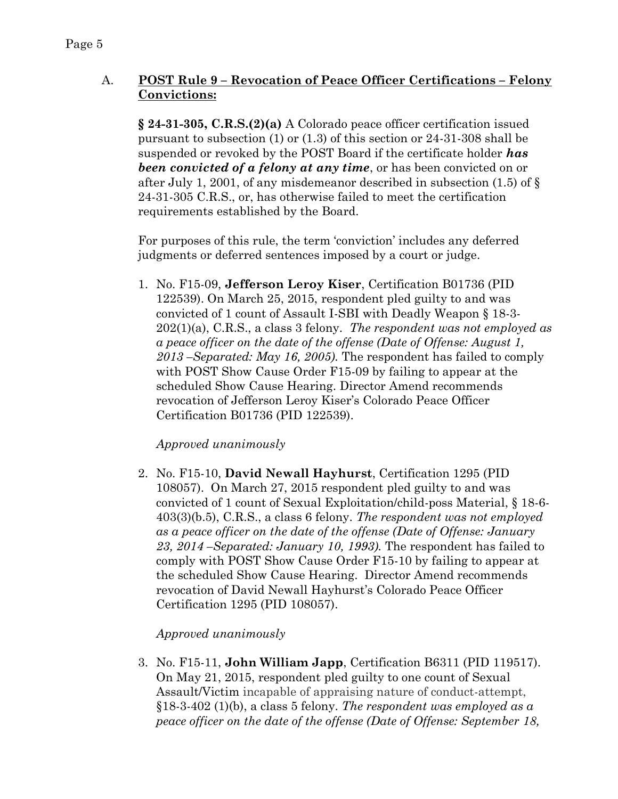# A. **POST Rule 9 – Revocation of Peace Officer Certifications – Felony Convictions:**

**§ 24-31-305, C.R.S.(2)(a)** A Colorado peace officer certification issued pursuant to subsection (1) or (1.3) of this section or 24-31-308 shall be suspended or revoked by the POST Board if the certificate holder *has been convicted of a felony at any time*, or has been convicted on or after July 1, 2001, of any misdemeanor described in subsection (1.5) of § 24-31-305 C.R.S., or, has otherwise failed to meet the certification requirements established by the Board.

For purposes of this rule, the term 'conviction' includes any deferred judgments or deferred sentences imposed by a court or judge.

1. No. F15-09, **Jefferson Leroy Kiser**, Certification B01736 (PID 122539). On March 25, 2015, respondent pled guilty to and was convicted of 1 count of Assault I-SBI with Deadly Weapon § 18-3- 202(1)(a), C.R.S., a class 3 felony. *The respondent was not employed as a peace officer on the date of the offense (Date of Offense: August 1, 2013 –Separated: May 16, 2005).* The respondent has failed to comply with POST Show Cause Order F15-09 by failing to appear at the scheduled Show Cause Hearing. Director Amend recommends revocation of Jefferson Leroy Kiser's Colorado Peace Officer Certification B01736 (PID 122539).

## *Approved unanimously*

2. No. F15-10, **David Newall Hayhurst**, Certification 1295 (PID 108057). On March 27, 2015 respondent pled guilty to and was convicted of 1 count of Sexual Exploitation/child-poss Material, § 18-6- 403(3)(b.5), C.R.S., a class 6 felony. *The respondent was not employed as a peace officer on the date of the offense (Date of Offense: January 23, 2014 –Separated: January 10, 1993).* The respondent has failed to comply with POST Show Cause Order F15-10 by failing to appear at the scheduled Show Cause Hearing. Director Amend recommends revocation of David Newall Hayhurst's Colorado Peace Officer Certification 1295 (PID 108057).

# *Approved unanimously*

3. No. F15-11, **John William Japp**, Certification B6311 (PID 119517). On May 21, 2015, respondent pled guilty to one count of Sexual Assault/Victim incapable of appraising nature of conduct-attempt, §18-3-402 (1)(b), a class 5 felony. *The respondent was employed as a peace officer on the date of the offense (Date of Offense: September 18,*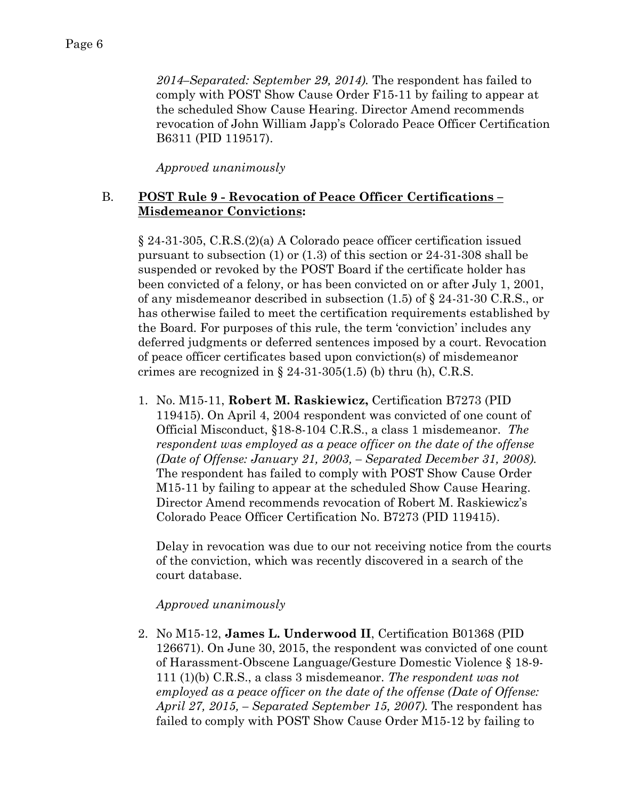*2014–Separated: September 29, 2014).* The respondent has failed to comply with POST Show Cause Order F15-11 by failing to appear at the scheduled Show Cause Hearing. Director Amend recommends revocation of John William Japp's Colorado Peace Officer Certification B6311 (PID 119517).

*Approved unanimously*

## B. **POST Rule 9 - Revocation of Peace Officer Certifications – Misdemeanor Convictions:**

§ 24-31-305, C.R.S.(2)(a) A Colorado peace officer certification issued pursuant to subsection (1) or (1.3) of this section or 24-31-308 shall be suspended or revoked by the POST Board if the certificate holder has been convicted of a felony, or has been convicted on or after July 1, 2001, of any misdemeanor described in subsection  $(1.5)$  of  $\S$  24-31-30 C.R.S., or has otherwise failed to meet the certification requirements established by the Board. For purposes of this rule, the term 'conviction' includes any deferred judgments or deferred sentences imposed by a court. Revocation of peace officer certificates based upon conviction(s) of misdemeanor crimes are recognized in  $\S 24-31-305(1.5)$  (b) thru (h), C.R.S.

1. No. M15-11, **Robert M. Raskiewicz,** Certification B7273 (PID 119415). On April 4, 2004 respondent was convicted of one count of Official Misconduct, §18-8-104 C.R.S., a class 1 misdemeanor. *The respondent was employed as a peace officer on the date of the offense (Date of Offense: January 21, 2003, – Separated December 31, 2008).*  The respondent has failed to comply with POST Show Cause Order M15-11 by failing to appear at the scheduled Show Cause Hearing. Director Amend recommends revocation of Robert M. Raskiewicz's Colorado Peace Officer Certification No. B7273 (PID 119415).

Delay in revocation was due to our not receiving notice from the courts of the conviction, which was recently discovered in a search of the court database.

## *Approved unanimously*

2. No M15-12, **James L. Underwood II**, Certification B01368 (PID 126671). On June 30, 2015, the respondent was convicted of one count of Harassment-Obscene Language/Gesture Domestic Violence § 18-9- 111 (1)(b) C.R.S., a class 3 misdemeanor. *The respondent was not employed as a peace officer on the date of the offense (Date of Offense: April 27, 2015, – Separated September 15, 2007).* The respondent has failed to comply with POST Show Cause Order M15-12 by failing to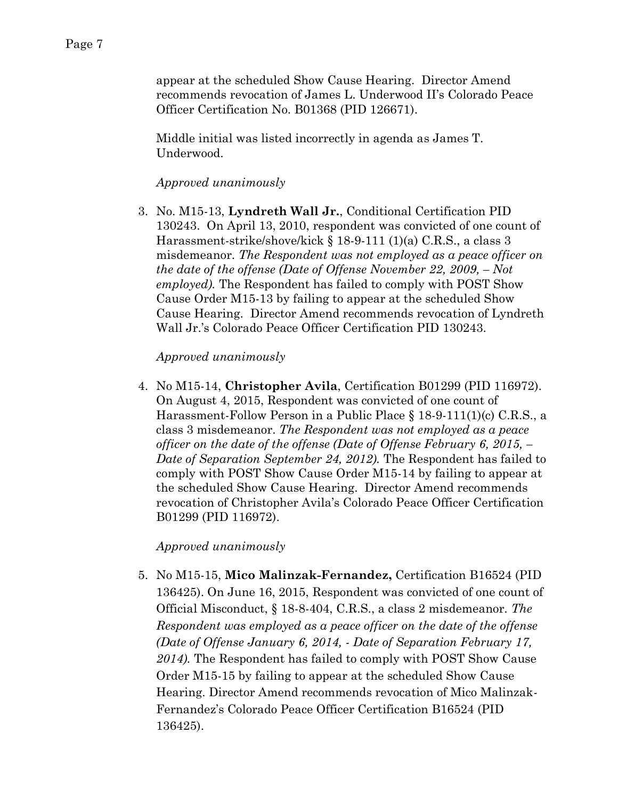appear at the scheduled Show Cause Hearing. Director Amend recommends revocation of James L. Underwood II's Colorado Peace Officer Certification No. B01368 (PID 126671).

Middle initial was listed incorrectly in agenda as James T. Underwood.

#### *Approved unanimously*

3. No. M15-13, **Lyndreth Wall Jr.**, Conditional Certification PID 130243. On April 13, 2010, respondent was convicted of one count of Harassment-strike/shove/kick § 18-9-111 (1)(a) C.R.S., a class 3 misdemeanor. *The Respondent was not employed as a peace officer on the date of the offense (Date of Offense November 22, 2009, – Not employed).* The Respondent has failed to comply with POST Show Cause Order M15-13 by failing to appear at the scheduled Show Cause Hearing. Director Amend recommends revocation of Lyndreth Wall Jr.'s Colorado Peace Officer Certification PID 130243.

#### *Approved unanimously*

4. No M15-14, **Christopher Avila**, Certification B01299 (PID 116972). On August 4, 2015, Respondent was convicted of one count of Harassment-Follow Person in a Public Place § 18-9-111(1)(c) C.R.S., a class 3 misdemeanor. *The Respondent was not employed as a peace officer on the date of the offense (Date of Offense February 6, 2015, – Date of Separation September 24, 2012).* The Respondent has failed to comply with POST Show Cause Order M15-14 by failing to appear at the scheduled Show Cause Hearing. Director Amend recommends revocation of Christopher Avila's Colorado Peace Officer Certification B01299 (PID 116972).

*Approved unanimously*

5. No M15-15, **Mico Malinzak-Fernandez,** Certification B16524 (PID 136425). On June 16, 2015, Respondent was convicted of one count of Official Misconduct, § 18-8-404, C.R.S., a class 2 misdemeanor. *The Respondent was employed as a peace officer on the date of the offense (Date of Offense January 6, 2014, - Date of Separation February 17, 2014).* The Respondent has failed to comply with POST Show Cause Order M15-15 by failing to appear at the scheduled Show Cause Hearing. Director Amend recommends revocation of Mico Malinzak-Fernandez's Colorado Peace Officer Certification B16524 (PID 136425).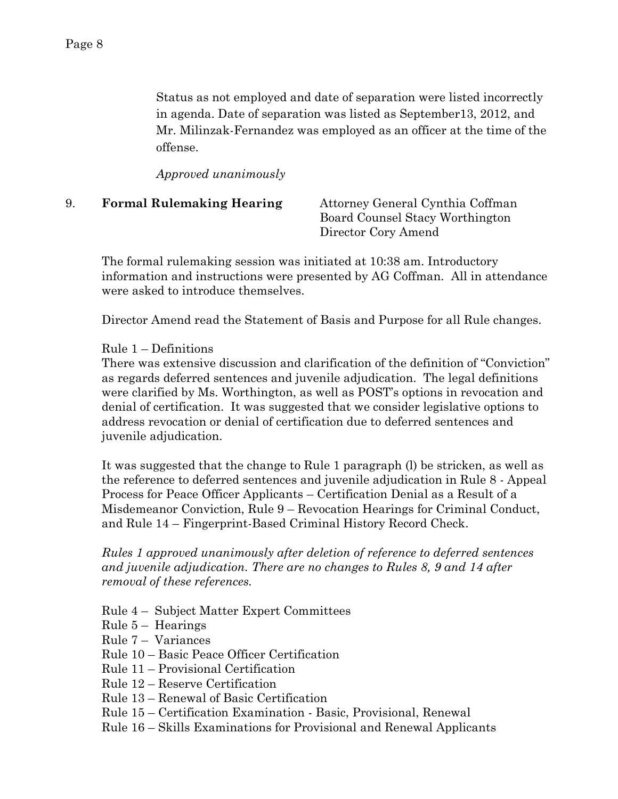Status as not employed and date of separation were listed incorrectly in agenda. Date of separation was listed as September13, 2012, and Mr. Milinzak-Fernandez was employed as an officer at the time of the offense.

*Approved unanimously*

| <b>Formal Rulemaking Hearing</b> | Attorney General Cynthia Coffman |
|----------------------------------|----------------------------------|
|                                  | Board Counsel Stacy Worthington  |
|                                  | Director Cory Amend              |

The formal rulemaking session was initiated at 10:38 am. Introductory information and instructions were presented by AG Coffman. All in attendance were asked to introduce themselves.

Director Amend read the Statement of Basis and Purpose for all Rule changes.

#### Rule 1 – Definitions

There was extensive discussion and clarification of the definition of "Conviction" as regards deferred sentences and juvenile adjudication. The legal definitions were clarified by Ms. Worthington, as well as POST's options in revocation and denial of certification. It was suggested that we consider legislative options to address revocation or denial of certification due to deferred sentences and juvenile adjudication.

It was suggested that the change to Rule 1 paragraph (l) be stricken, as well as the reference to deferred sentences and juvenile adjudication in Rule 8 - Appeal Process for Peace Officer Applicants – Certification Denial as a Result of a Misdemeanor Conviction, Rule 9 – Revocation Hearings for Criminal Conduct, and Rule 14 – Fingerprint-Based Criminal History Record Check.

*Rules 1 approved unanimously after deletion of reference to deferred sentences and juvenile adjudication. There are no changes to Rules 8, 9 and 14 after removal of these references.*

Rule 4 – Subject Matter Expert Committees

- Rule 5 Hearings
- Rule 7 Variances

Rule 10 – Basic Peace Officer Certification

- Rule 11 Provisional Certification
- Rule 12 Reserve Certification
- Rule 13 Renewal of Basic Certification
- Rule 15 Certification Examination Basic, Provisional, Renewal
- Rule 16 Skills Examinations for Provisional and Renewal Applicants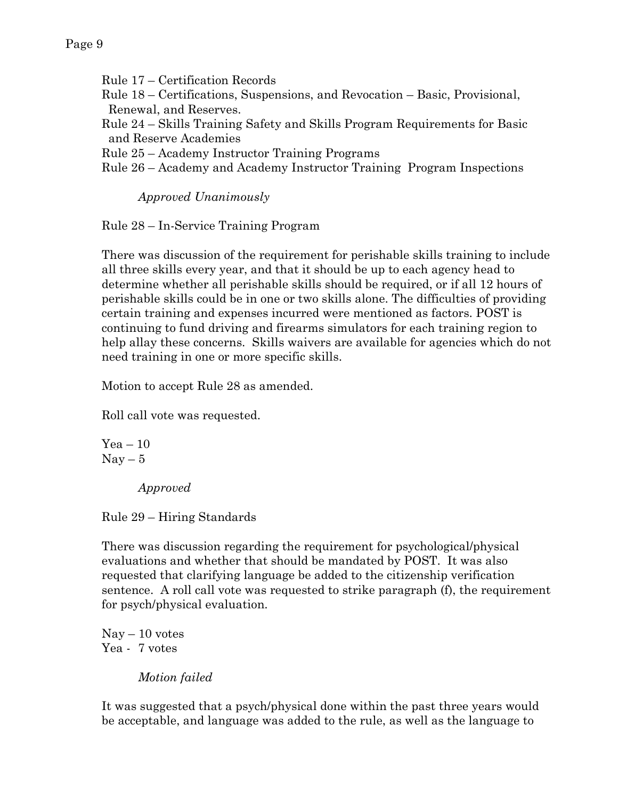Rule 17 – Certification Records

Rule 18 – Certifications, Suspensions, and Revocation – Basic, Provisional, Renewal, and Reserves.

Rule 24 – Skills Training Safety and Skills Program Requirements for Basic and Reserve Academies

Rule 25 – Academy Instructor Training Programs

Rule 26 – Academy and Academy Instructor Training Program Inspections

*Approved Unanimously*

Rule 28 – In-Service Training Program

There was discussion of the requirement for perishable skills training to include all three skills every year, and that it should be up to each agency head to determine whether all perishable skills should be required, or if all 12 hours of perishable skills could be in one or two skills alone. The difficulties of providing certain training and expenses incurred were mentioned as factors. POST is continuing to fund driving and firearms simulators for each training region to help allay these concerns. Skills waivers are available for agencies which do not need training in one or more specific skills.

Motion to accept Rule 28 as amended.

Roll call vote was requested.

 $Yea - 10$  $Nay-5$ 

*Approved*

Rule 29 – Hiring Standards

There was discussion regarding the requirement for psychological/physical evaluations and whether that should be mandated by POST. It was also requested that clarifying language be added to the citizenship verification sentence. A roll call vote was requested to strike paragraph (f), the requirement for psych/physical evaluation.

 $\text{Nay} - 10 \text{ votes}$ Yea - 7 votes

*Motion failed*

It was suggested that a psych/physical done within the past three years would be acceptable, and language was added to the rule, as well as the language to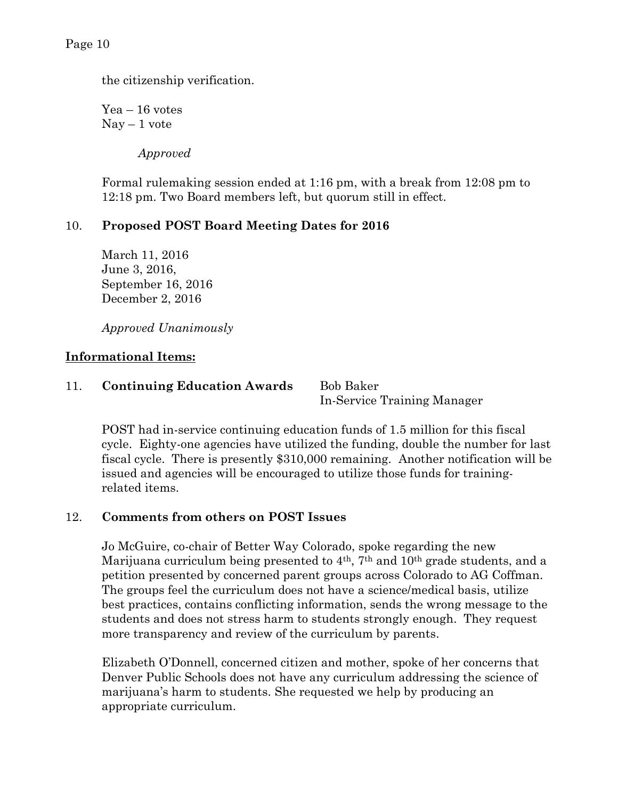the citizenship verification.

Yea – 16 votes  $\text{Nav} - 1 \text{ vote}$ 

*Approved* 

Formal rulemaking session ended at 1:16 pm, with a break from 12:08 pm to 12:18 pm. Two Board members left, but quorum still in effect.

## 10. **Proposed POST Board Meeting Dates for 2016**

March 11, 2016 June 3, 2016, September 16, 2016 December 2, 2016

*Approved Unanimously*

#### **Informational Items:**

## 11. **Continuing Education Awards** Bob Baker

In-Service Training Manager

POST had in-service continuing education funds of 1.5 million for this fiscal cycle. Eighty-one agencies have utilized the funding, double the number for last fiscal cycle. There is presently \$310,000 remaining. Another notification will be issued and agencies will be encouraged to utilize those funds for trainingrelated items.

## 12. **Comments from others on POST Issues**

Jo McGuire, co-chair of Better Way Colorado, spoke regarding the new Marijuana curriculum being presented to 4<sup>th</sup>, 7<sup>th</sup> and 10<sup>th</sup> grade students, and a petition presented by concerned parent groups across Colorado to AG Coffman. The groups feel the curriculum does not have a science/medical basis, utilize best practices, contains conflicting information, sends the wrong message to the students and does not stress harm to students strongly enough. They request more transparency and review of the curriculum by parents.

Elizabeth O'Donnell, concerned citizen and mother, spoke of her concerns that Denver Public Schools does not have any curriculum addressing the science of marijuana's harm to students. She requested we help by producing an appropriate curriculum.